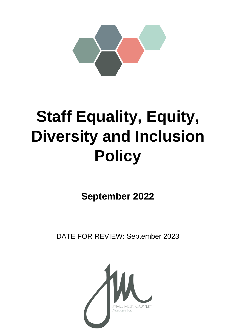

# **Staff Equality, Equity, Diversity and Inclusion Policy**

**September 2022**

DATE FOR REVIEW: September 2023

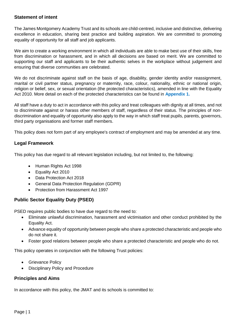# **Statement of intent**

The James Montgomery Academy Trust and its schools are child-centred, inclusive and distinctive, delivering excellence in education, sharing best practice and building aspiration. We are committed to promoting equality of opportunity for all staff and job applicants.

We aim to create a working environment in which all individuals are able to make best use of their skills, free from discrimination or harassment, and in which all decisions are based on merit. We are committed to supporting our staff and applicants to be their authentic selves in the workplace without judgement and ensuring that diverse communities are celebrated.

We do not discriminate against staff on the basis of age, disability, gender identity and/or reassignment, marital or civil partner status, pregnancy or maternity, race, colour, nationality, ethnic or national origin, religion or belief, sex, or sexual orientation (the protected characteristics), amended in line with the Equality Act 2010. More detail on each of the protected characteristics can be found in **Appendix 1.**

All staff have a duty to act in accordance with this policy and treat colleagues with dignity at all times, and not to discriminate against or harass other members of staff, regardless of their status. The principles of nondiscrimination and equality of opportunity also apply to the way in which staff treat pupils, parents, governors, third party organisations and former staff members.

This policy does not form part of any employee's contract of employment and may be amended at any time.

# **Legal Framework**

This policy has due regard to all relevant legislation including, but not limited to, the following:

- Human Rights Act 1998
- Equality Act 2010
- Data Protection Act 2018
- General Data Protection Regulation (GDPR)
- Protection from Harassment Act 1997

# **Public Sector Equality Duty (PSED)**

PSED requires public bodies to have due regard to the need to:

- Eliminate unlawful discrimination, harassment and victimisation and other conduct prohibited by the Equality Act.
- Advance equality of opportunity between people who share a protected characteristic and people who do not share it.
- Foster good relations between people who share a protected characteristic and people who do not.

This policy operates in conjunction with the following Trust policies:

- Grievance Policy
- Disciplinary Policy and Procedure

# **Principles and Aims**

In accordance with this policy, the JMAT and its schools is committed to: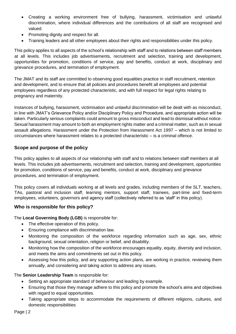- Creating a working environment free of bullying, harassment, victimisation and unlawful discrimination, where individual differences and the contributions of all staff are recognised and valued.
- Promoting dignity and respect for all.
- Training leaders and all other employees about their rights and responsibilities under this policy.

This policy applies to all aspects of the school's relationship with staff and to relations between staff members at all levels. This includes job advertisements, recruitment and selection, training and development, opportunities for promotion, conditions of service, pay and benefits, conduct at work, disciplinary and grievance procedures, and termination of employment.

The JMAT and its staff are committed to observing good equalities practice in staff recruitment, retention and development, and to ensure that all policies and procedures benefit all employees and potential employees regardless of any protected characteristic, and with full respect for legal rights relating to pregnancy and maternity.

Instances of bullying, harassment, victimisation and unlawful discrimination will be dealt with as misconduct, in line with JMAT's Grievance Policy and/or Disciplinary Policy and Procedure, and appropriate action will be taken. Particularly serious complaints could amount to gross misconduct and lead to dismissal without notice. Sexual harassment may amount to both an employment rights matter and a criminal matter, such as in sexual assault allegations. Harassment under the Protection from Harassment Act 1997 – which is not limited to circumstances where harassment relates to a protected characteristic – is a criminal offence.

# **Scope and purpose of the policy**

This policy applies to all aspects of our relationship with staff and to relations between staff members at all levels. This includes job advertisements, recruitment and selection, training and development, opportunities for promotion, conditions of service, pay and benefits, conduct at work, disciplinary and grievance procedures, and termination of employment.

This policy covers all individuals working at all levels and grades, including members of the SLT, teachers, TAs, pastoral and inclusion staff, learning mentors, support staff, trainees, part-time and fixed-term employees, volunteers, governors and agency staff (collectively referred to as 'staff' in this policy).

# **Who is responsible for this policy?**

The **Local Governing Body (LGB)** is responsible for:

- The effective operation of this policy.
- Ensuring compliance with discrimination law.
- Monitoring the composition of the workforce regarding information such as age, sex, ethnic background, sexual orientation, religion or belief, and disability.
- Monitoring how the composition of the workforce encourages equality, equity, diversity and inclusion, and meets the aims and commitments set out in this policy.
- Assessing how this policy, and any supporting action plans, are working in practice, reviewing them annually, and considering and taking action to address any issues.

The **Senior Leadership Team** is responsible for:

- Setting an appropriate standard of behaviour and leading by example.
- Ensuring that those they manage adhere to this policy and promote the school's aims and objectives with regard to equal opportunities.
- Taking appropriate steps to accommodate the requirements of different religions, cultures, and domestic responsibilities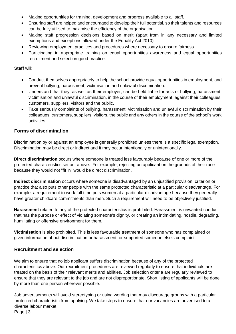- Making opportunities for training, development and progress available to all staff.
- Ensuring staff are helped and encouraged to develop their full potential, so their talents and resources can be fully utilised to maximise the efficiency of the organisation.
- Making staff progression decisions based on merit (apart from in any necessary and limited exemptions and exceptions allowed under the Equality Act 2010).
- Reviewing employment practices and procedures where necessary to ensure fairness.
- Participating in appropriate training on equal opportunities awareness and equal opportunities recruitment and selection good practice.

#### **Staff** will:

- Conduct themselves appropriately to help the school provide equal opportunities in employment, and prevent bullying, harassment, victimisation and unlawful discrimination.
- Understand that they, as well as their employer, can be held liable for acts of bullying, harassment, victimisation and unlawful discrimination, in the course of their employment, against their colleagues, customers, suppliers, visitors and the public.
- Take seriously complaints of bullying, harassment, victimisation and unlawful discrimination by their colleagues, customers, suppliers, visitors, the public and any others in the course of the school's work activities.

# **Forms of discrimination**

Discrimination by or against an employee is generally prohibited unless there is a specific legal exemption. Discrimination may be direct or indirect and it may occur intentionally or unintentionally.

**Direct discrimination** occurs where someone is treated less favourably because of one or more of the protected characteristics set out above. For example, rejecting an applicant on the grounds of their race because they would not "fit in" would be direct discrimination.

**Indirect discrimination** occurs where someone is disadvantaged by an unjustified provision, criterion or practice that also puts other people with the same protected characteristic at a particular disadvantage. For example, a requirement to work full time puts women at a particular disadvantage because they generally have greater childcare commitments than men. Such a requirement will need to be objectively justified.

**Harassment** related to any of the protected characteristics is prohibited. Harassment is unwanted conduct that has the purpose or effect of violating someone's dignity, or creating an intimidating, hostile, degrading, humiliating or offensive environment for them.

**Victimisation** is also prohibited. This is less favourable treatment of someone who has complained or given information about discrimination or harassment, or supported someone else's complaint.

# **Recruitment and selection**

We aim to ensure that no job applicant suffers discrimination because of any of the protected characteristics above. Our recruitment procedures are reviewed regularly to ensure that individuals are treated on the basis of their relevant merits and abilities. Job selection criteria are regularly reviewed to ensure that they are relevant to the job and are not disproportionate. Short listing of applicants will be done by more than one person wherever possible.

Page | 3 Job advertisements will avoid stereotyping or using wording that may discourage groups with a particular protected characteristic from applying. We take steps to ensure that our vacancies are advertised to a diverse labour market.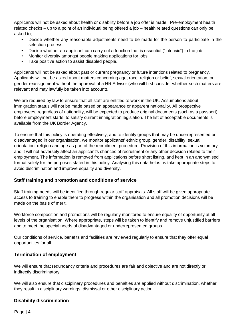Applicants will not be asked about health or disability before a job offer is made. Pre-employment health related checks – up to a point of an individual being offered a job – health related questions can only be asked to;

- Decide whether any reasonable adjustments need to be made for the person to participate in the selection process.
- Decide whether an applicant can carry out a function that is essential ("intrinsic") to the job.
- Monitor diversity amongst people making applications for jobs.
- Take positive action to assist disabled people.

Applicants will not be asked about past or current pregnancy or future intentions related to pregnancy. Applicants will not be asked about matters concerning age, race, religion or belief, sexual orientation, or gender reassignment without the approval of a HR Advisor (who will first consider whether such matters are relevant and may lawfully be taken into account).

We are required by law to ensure that all staff are entitled to work in the UK. Assumptions about immigration status will not be made based on appearance or apparent nationality. All prospective employees, regardless of nationality, will be expected to produce original documents (such as a passport) before employment starts, to satisfy current immigration legislation. The list of acceptable documents is available from the UK Border Agency.

To ensure that this policy is operating effectively, and to identify groups that may be underrepresented or disadvantaged in our organisation, we monitor applicants' ethnic group, gender, disability, sexual orientation, religion and age as part of the recruitment procedure. Provision of this information is voluntary and it will not adversely affect an applicant's chances of recruitment or any other decision related to their employment. The information is removed from applications before short listing, and kept in an anonymised format solely for the purposes stated in this policy. Analysing this data helps us take appropriate steps to avoid discrimination and improve equality and diversity.

# **Staff training and promotion and conditions of service**

Staff training needs will be identified through regular staff appraisals. All staff will be given appropriate access to training to enable them to progress within the organisation and all promotion decisions will be made on the basis of merit.

Workforce composition and promotions will be regularly monitored to ensure equality of opportunity at all levels of the organisation. Where appropriate, steps will be taken to identify and remove unjustified barriers and to meet the special needs of disadvantaged or underrepresented groups.

Our conditions of service, benefits and facilities are reviewed regularly to ensure that they offer equal opportunities for all.

# **Termination of employment**

We will ensure that redundancy criteria and procedures are fair and objective and are not directly or indirectly discriminatory.

We will also ensure that disciplinary procedures and penalties are applied without discrimination, whether they result in disciplinary warnings, dismissal or other disciplinary action.

# **Disability discrimination**

Page | 4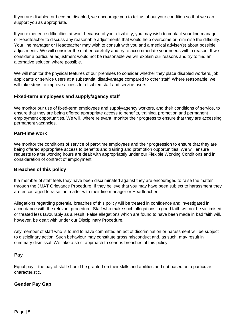If you are disabled or become disabled, we encourage you to tell us about your condition so that we can support you as appropriate.

If you experience difficulties at work because of your disability, you may wish to contact your line manager or Headteacher to discuss any reasonable adjustments that would help overcome or minimise the difficulty. Your line manager or Headteacher may wish to consult with you and a medical adviser(s) about possible adjustments. We will consider the matter carefully and try to accommodate your needs within reason. If we consider a particular adjustment would not be reasonable we will explain our reasons and try to find an alternative solution where possible.

We will monitor the physical features of our premises to consider whether they place disabled workers, job applicants or service users at a substantial disadvantage compared to other staff. Where reasonable, we will take steps to improve access for disabled staff and service users.

# **Fixed-term employees and supply/agency staff**

We monitor our use of fixed-term employees and supply/agency workers, and their conditions of service, to ensure that they are being offered appropriate access to benefits, training, promotion and permanent employment opportunities. We will, where relevant, monitor their progress to ensure that they are accessing permanent vacancies.

#### **Part-time work**

We monitor the conditions of service of part-time employees and their progression to ensure that they are being offered appropriate access to benefits and training and promotion opportunities. We will ensure requests to alter working hours are dealt with appropriately under our Flexible Working Conditions and in consideration of contract of employment.

#### **Breaches of this policy**

If a member of staff feels they have been discriminated against they are encouraged to raise the matter through the JMAT Grievance Procedure. If they believe that you may have been subject to harassment they are encouraged to raise the matter with their line manager or Headteacher.

Allegations regarding potential breaches of this policy will be treated in confidence and investigated in accordance with the relevant procedure. Staff who make such allegations in good faith will not be victimised or treated less favourably as a result. False allegations which are found to have been made in bad faith will, however, be dealt with under our Disciplinary Procedure.

Any member of staff who is found to have committed an act of discrimination or harassment will be subject to disciplinary action. Such behaviour may constitute gross misconduct and, as such, may result in summary dismissal. We take a strict approach to serious breaches of this policy.

# **Pay**

Equal pay – the pay of staff should be granted on their skills and abilities and not based on a particular characteristic.

# **Gender Pay Gap**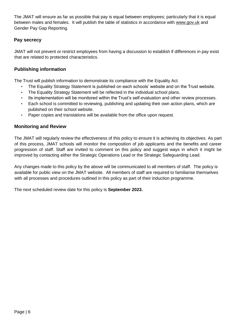The JMAT will ensure as far as possible that pay is equal between employees; particularly that it is equal between males and females. It will publish the table of statistics in accordance with [www.gov.uk](http://www.gov.uk/) and Gender Pay Gap Reporting.

# **Pay secrecy**

JMAT will not prevent or restrict employees from having a discussion to establish if differences in pay exist that are related to protected characteristics.

# **Publishing information**

The Trust will publish information to demonstrate its compliance with the Equality Act.

- The Equality Strategy Statement is published on each schools' website and on the Trust website.
- The Equality Strategy Statement will be reflected in the individual school plans.
- Its implementation will be monitored within the Trust's self-evaluation and other review processes.
- Each school is committed to reviewing, publishing and updating their own action plans, which are published on their school website.
- Paper copies and translations will be available from the office upon request.

# **Monitoring and Review**

The JMAT will regularly review the effectiveness of this policy to ensure it is achieving its objectives. As part of this process, JMAT schools will monitor the composition of job applicants and the benefits and career progression of staff. Staff are invited to comment on this policy and suggest ways in which it might be improved by contacting either the Strategic Operations Lead or the Strategic Safeguarding Lead.

Any changes made to this policy by the above will be communicated to all members of staff. The policy is available for public view on the JMAT website. All members of staff are required to familiarise themselves with all processes and procedures outlined in this policy as part of their induction programme.

The next scheduled review date for this policy is **September 2023.**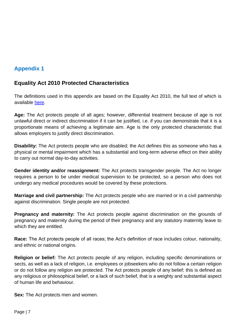# **Appendix 1**

# **Equality Act 2010 Protected Characteristics**

The definitions used in this appendix are based on the Equality Act 2010, the full text of which is available [here.](https://www.legislation.gov.uk/ukpga/2010/15/contents)

**Age:** The Act protects people of all ages; however, differential treatment because of age is not unlawful direct or indirect discrimination if it can be justified, i.e. if you can demonstrate that it is a proportionate means of achieving a legitimate aim. Age is the only protected characteristic that allows employers to justify direct discrimination.

**Disability:** The Act protects people who are disabled; the Act defines this as someone who has a physical or mental impairment which has a substantial and long-term adverse effect on their ability to carry out normal day-to-day activities.

**Gender identity and/or reassignment:** The Act protects transgender people. The Act no longer requires a person to be under medical supervision to be protected, so a person who does not undergo any medical procedures would be covered by these protections.

**Marriage and civil partnership:** The Act protects people who are married or in a civil partnership against discrimination. Single people are not protected.

**Pregnancy and maternity:** The Act protects people against discrimination on the grounds of pregnancy and maternity during the period of their pregnancy and any statutory maternity leave to which they are entitled.

**Race:** The Act protects people of all races; the Act's definition of race includes colour, nationality, and ethnic or national origins.

**Religion or belief:** The Act protects people of any religion, including specific denominations or sects, as well as a lack of religion, i.e. employees or jobseekers who do not follow a certain religion or do not follow any religion are protected. The Act protects people of any belief; this is defined as any religious or philosophical belief, or a lack of such belief, that is a weighty and substantial aspect of human life and behaviour.

**Sex:** The Act protects men and women.